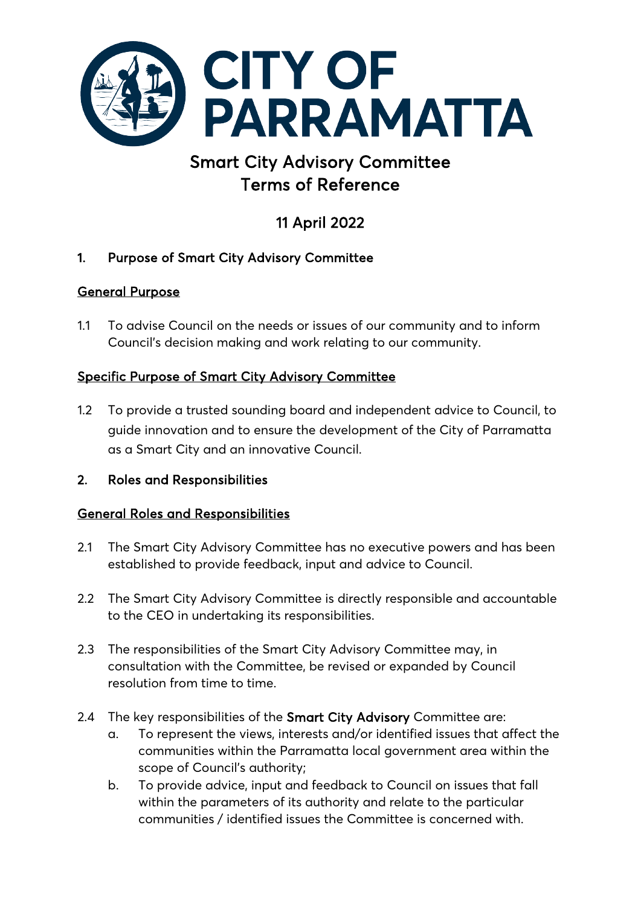

# Smart City Advisory Committee Terms of Reference

# 11 April 2022

# 1. Purpose of Smart City Advisory Committee

# General Purpose

1.1 To advise Council on the needs or issues of our community and to inform Council's decision making and work relating to our community.

# Specific Purpose of Smart City Advisory Committee

- 1.2 To provide a trusted sounding board and independent advice to Council, to guide innovation and to ensure the development of the City of Parramatta as a Smart City and an innovative Council.
- 2. Roles and Responsibilities

## General Roles and Responsibilities

- 2.1 The Smart City Advisory Committee has no executive powers and has been established to provide feedback, input and advice to Council.
- 2.2 The Smart City Advisory Committee is directly responsible and accountable to the CEO in undertaking its responsibilities.
- 2.3 The responsibilities of the Smart City Advisory Committee may, in consultation with the Committee, be revised or expanded by Council resolution from time to time.
- 2.4 The key responsibilities of the Smart City Advisory Committee are:
	- a. To represent the views, interests and/or identified issues that affect the communities within the Parramatta local government area within the scope of Council's authority;
	- b. To provide advice, input and feedback to Council on issues that fall within the parameters of its authority and relate to the particular communities / identified issues the Committee is concerned with.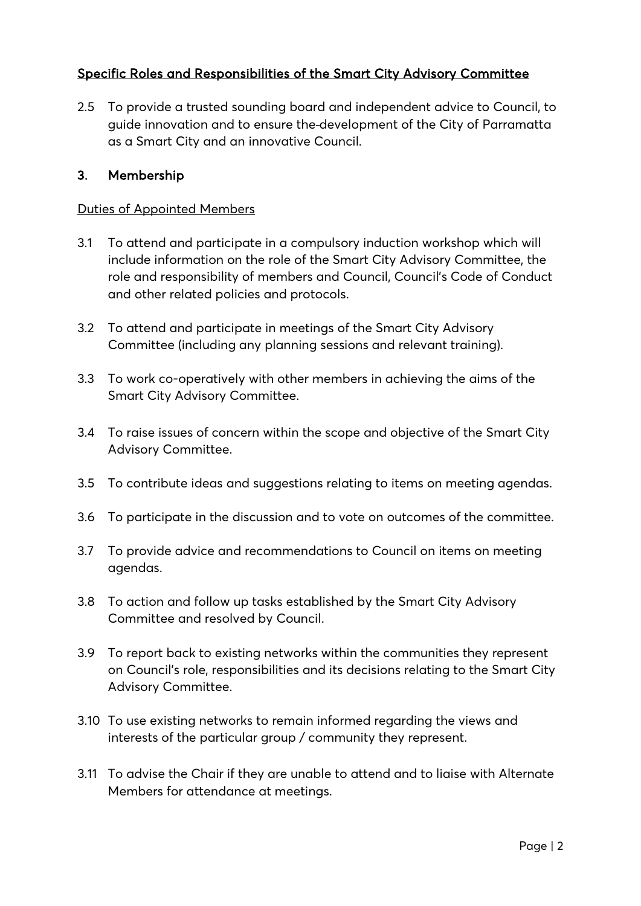## Specific Roles and Responsibilities of the Smart City Advisory Committee

2.5 To provide a trusted sounding board and independent advice to Council, to guide innovation and to ensure the development of the City of Parramatta as a Smart City and an innovative Council.

#### 3. Membership

#### Duties of Appointed Members

- 3.1 To attend and participate in a compulsory induction workshop which will include information on the role of the Smart City Advisory Committee, the role and responsibility of members and Council, Council's Code of Conduct and other related policies and protocols.
- 3.2 To attend and participate in meetings of the Smart City Advisory Committee (including any planning sessions and relevant training).
- 3.3 To work co-operatively with other members in achieving the aims of the Smart City Advisory Committee.
- 3.4 To raise issues of concern within the scope and objective of the Smart City Advisory Committee.
- 3.5 To contribute ideas and suggestions relating to items on meeting agendas.
- 3.6 To participate in the discussion and to vote on outcomes of the committee.
- 3.7 To provide advice and recommendations to Council on items on meeting agendas.
- 3.8 To action and follow up tasks established by the Smart City Advisory Committee and resolved by Council.
- 3.9 To report back to existing networks within the communities they represent on Council's role, responsibilities and its decisions relating to the Smart City Advisory Committee.
- 3.10 To use existing networks to remain informed regarding the views and interests of the particular group / community they represent.
- 3.11 To advise the Chair if they are unable to attend and to liaise with Alternate Members for attendance at meetings.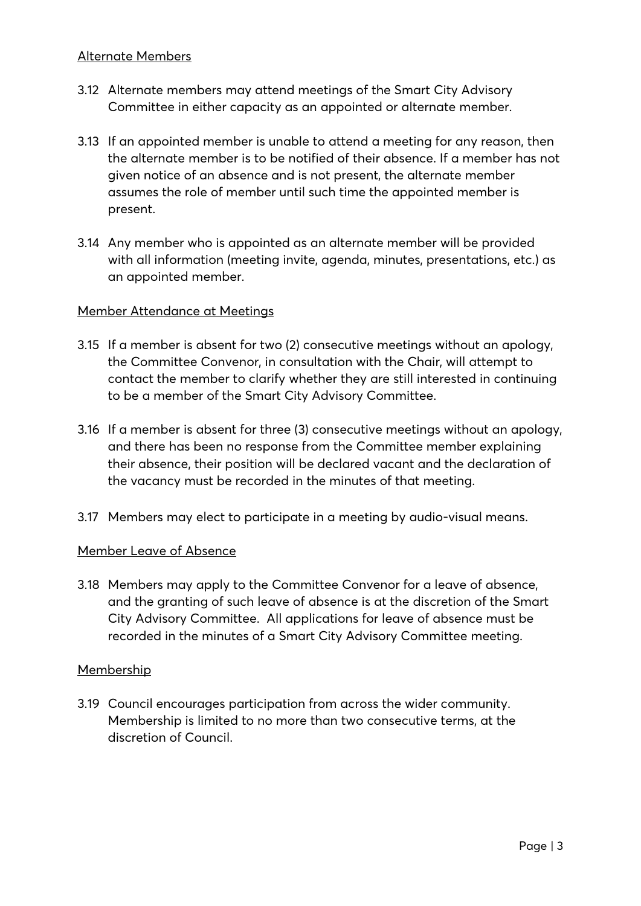- 3.12 Alternate members may attend meetings of the Smart City Advisory Committee in either capacity as an appointed or alternate member.
- 3.13 If an appointed member is unable to attend a meeting for any reason, then the alternate member is to be notified of their absence. If a member has not given notice of an absence and is not present, the alternate member assumes the role of member until such time the appointed member is present.
- 3.14 Any member who is appointed as an alternate member will be provided with all information (meeting invite, agenda, minutes, presentations, etc.) as an appointed member.

#### Member Attendance at Meetings

- 3.15 If a member is absent for two (2) consecutive meetings without an apology, the Committee Convenor, in consultation with the Chair, will attempt to contact the member to clarify whether they are still interested in continuing to be a member of the Smart City Advisory Committee.
- 3.16 If a member is absent for three (3) consecutive meetings without an apology, and there has been no response from the Committee member explaining their absence, their position will be declared vacant and the declaration of the vacancy must be recorded in the minutes of that meeting.
- 3.17 Members may elect to participate in a meeting by audio-visual means.

#### Member Leave of Absence

3.18 Members may apply to the Committee Convenor for a leave of absence, and the granting of such leave of absence is at the discretion of the Smart City Advisory Committee. All applications for leave of absence must be recorded in the minutes of a Smart City Advisory Committee meeting.

#### Membership

3.19 Council encourages participation from across the wider community. Membership is limited to no more than two consecutive terms, at the discretion of Council.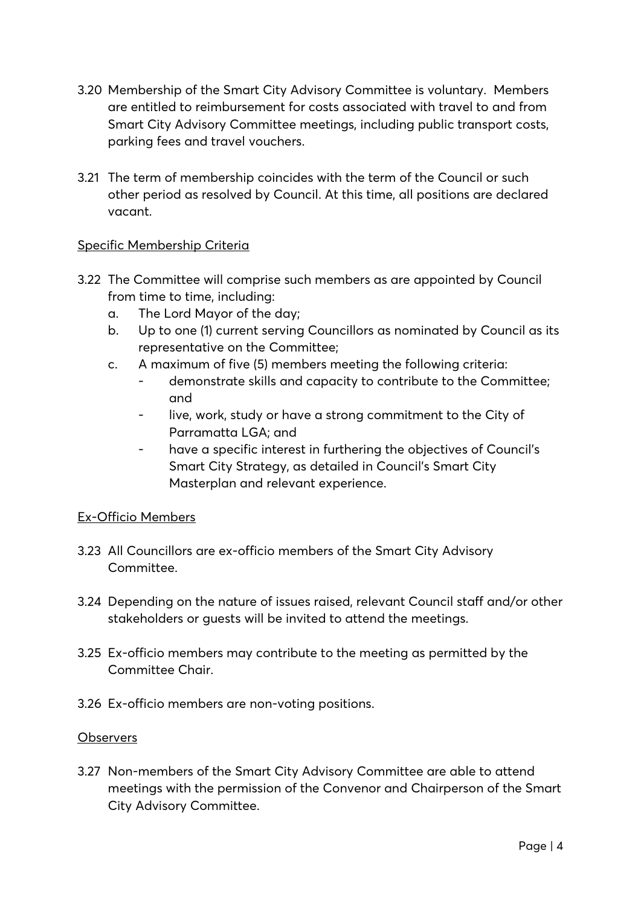- 3.20 Membership of the Smart City Advisory Committee is voluntary. Members are entitled to reimbursement for costs associated with travel to and from Smart City Advisory Committee meetings, including public transport costs, parking fees and travel vouchers.
- 3.21 The term of membership coincides with the term of the Council or such other period as resolved by Council. At this time, all positions are declared vacant.

#### Specific Membership Criteria

- 3.22 The Committee will comprise such members as are appointed by Council from time to time, including:
	- a. The Lord Mayor of the day;
	- b. Up to one (1) current serving Councillors as nominated by Council as its representative on the Committee;
	- c. A maximum of five (5) members meeting the following criteria:
		- demonstrate skills and capacity to contribute to the Committee; and
		- live, work, study or have a strong commitment to the City of Parramatta LGA; and
		- have a specific interest in furthering the objectives of Council's Smart City Strategy, as detailed in Council's Smart City Masterplan and relevant experience.

## Ex-Officio Members

- 3.23 All Councillors are ex-officio members of the Smart City Advisory Committee.
- 3.24 Depending on the nature of issues raised, relevant Council staff and/or other stakeholders or guests will be invited to attend the meetings.
- 3.25 Ex-officio members may contribute to the meeting as permitted by the Committee Chair.
- 3.26 Ex-officio members are non-voting positions.

#### **Observers**

3.27 Non-members of the Smart City Advisory Committee are able to attend meetings with the permission of the Convenor and Chairperson of the Smart City Advisory Committee.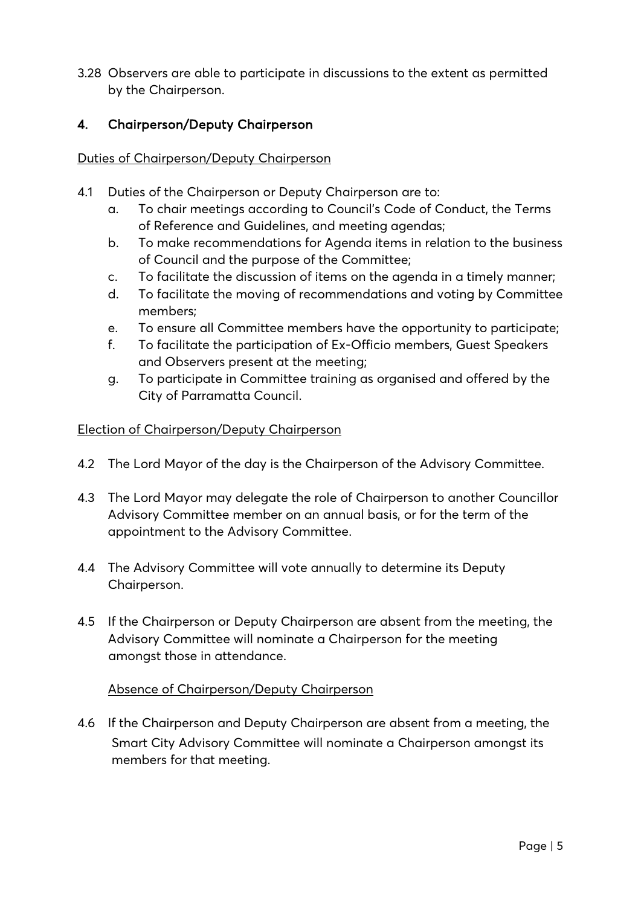3.28 Observers are able to participate in discussions to the extent as permitted by the Chairperson.

## 4. Chairperson/Deputy Chairperson

#### Duties of Chairperson/Deputy Chairperson

- 4.1 Duties of the Chairperson or Deputy Chairperson are to:
	- a. To chair meetings according to Council's Code of Conduct, the Terms of Reference and Guidelines, and meeting agendas;
	- b. To make recommendations for Agenda items in relation to the business of Council and the purpose of the Committee;
	- c. To facilitate the discussion of items on the agenda in a timely manner;
	- d. To facilitate the moving of recommendations and voting by Committee members;
	- e. To ensure all Committee members have the opportunity to participate;
	- f. To facilitate the participation of Ex-Officio members, Guest Speakers and Observers present at the meeting;
	- g. To participate in Committee training as organised and offered by the City of Parramatta Council.

#### Election of Chairperson/Deputy Chairperson

- 4.2 The Lord Mayor of the day is the Chairperson of the Advisory Committee.
- 4.3 The Lord Mayor may delegate the role of Chairperson to another Councillor Advisory Committee member on an annual basis, or for the term of the appointment to the Advisory Committee.
- 4.4 The Advisory Committee will vote annually to determine its Deputy Chairperson.
- 4.5 If the Chairperson or Deputy Chairperson are absent from the meeting, the Advisory Committee will nominate a Chairperson for the meeting amongst those in attendance.

#### Absence of Chairperson/Deputy Chairperson

4.6 If the Chairperson and Deputy Chairperson are absent from a meeting, the Smart City Advisory Committee will nominate a Chairperson amongst its members for that meeting.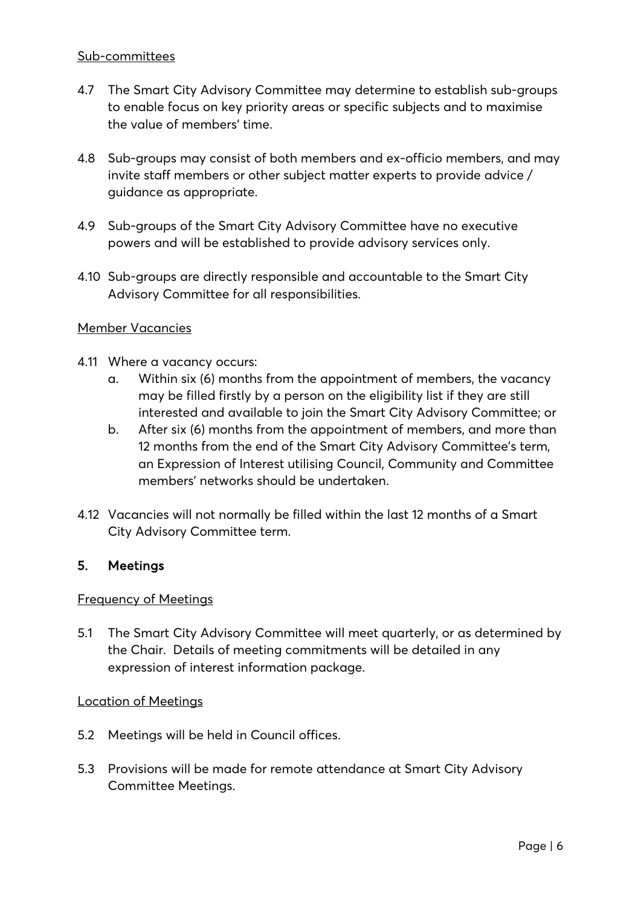#### Sub-committees

- 4.7 The Smart City Advisory Committee may determine to establish sub-groups to enable focus on key priority areas or specific subjects and to maximise the value of members' time.
- 4.8 Sub-groups may consist of both members and ex-officio members, and may invite staff members or other subject matter experts to provide advice / guidance as appropriate.
- 4.9 Sub-groups of the Smart City Advisory Committee have no executive powers and will be established to provide advisory services only.
- 4.10 Sub-groups are directly responsible and accountable to the Smart City Advisory Committee for all responsibilities.

#### Member Vacancies

- 4.11 Where a vacancy occurs:
	- a. Within six (6) months from the appointment of members, the vacancy may be filled firstly by a person on the eligibility list if they are still interested and available to join the Smart City Advisory Committee; or
	- b. After six (6) months from the appointment of members, and more than 12 months from the end of the Smart City Advisory Committee's term, an Expression of Interest utilising Council, Community and Committee members' networks should be undertaken.
- 4.12 Vacancies will not normally be filled within the last 12 months of a Smart City Advisory Committee term.

#### 5. Meetings

#### Frequency of Meetings

5.1 The Smart City Advisory Committee will meet quarterly, or as determined by the Chair. Details of meeting commitments will be detailed in any expression of interest information package.

#### Location of Meetings

- 5.2 Meetings will be held in Council offices.
- 5.3 Provisions will be made for remote attendance at Smart City Advisory Committee Meetings.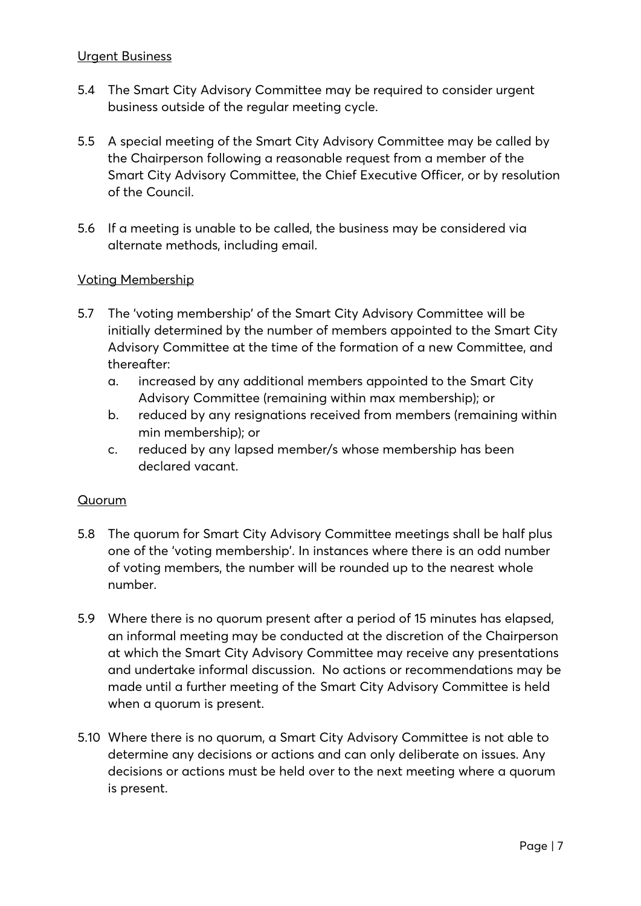#### Urgent Business

- 5.4 The Smart City Advisory Committee may be required to consider urgent business outside of the regular meeting cycle.
- 5.5 A special meeting of the Smart City Advisory Committee may be called by the Chairperson following a reasonable request from a member of the Smart City Advisory Committee, the Chief Executive Officer, or by resolution of the Council.
- 5.6 If a meeting is unable to be called, the business may be considered via alternate methods, including email.

#### Voting Membership

- 5.7 The 'voting membership' of the Smart City Advisory Committee will be initially determined by the number of members appointed to the Smart City Advisory Committee at the time of the formation of a new Committee, and thereafter:
	- a. increased by any additional members appointed to the Smart City Advisory Committee (remaining within max membership); or
	- b. reduced by any resignations received from members (remaining within min membership); or
	- c. reduced by any lapsed member/s whose membership has been declared vacant.

#### Quorum

- 5.8 The quorum for Smart City Advisory Committee meetings shall be half plus one of the 'voting membership'. In instances where there is an odd number of voting members, the number will be rounded up to the nearest whole number.
- 5.9 Where there is no quorum present after a period of 15 minutes has elapsed, an informal meeting may be conducted at the discretion of the Chairperson at which the Smart City Advisory Committee may receive any presentations and undertake informal discussion. No actions or recommendations may be made until a further meeting of the Smart City Advisory Committee is held when a quorum is present.
- 5.10 Where there is no quorum, a Smart City Advisory Committee is not able to determine any decisions or actions and can only deliberate on issues. Any decisions or actions must be held over to the next meeting where a quorum is present.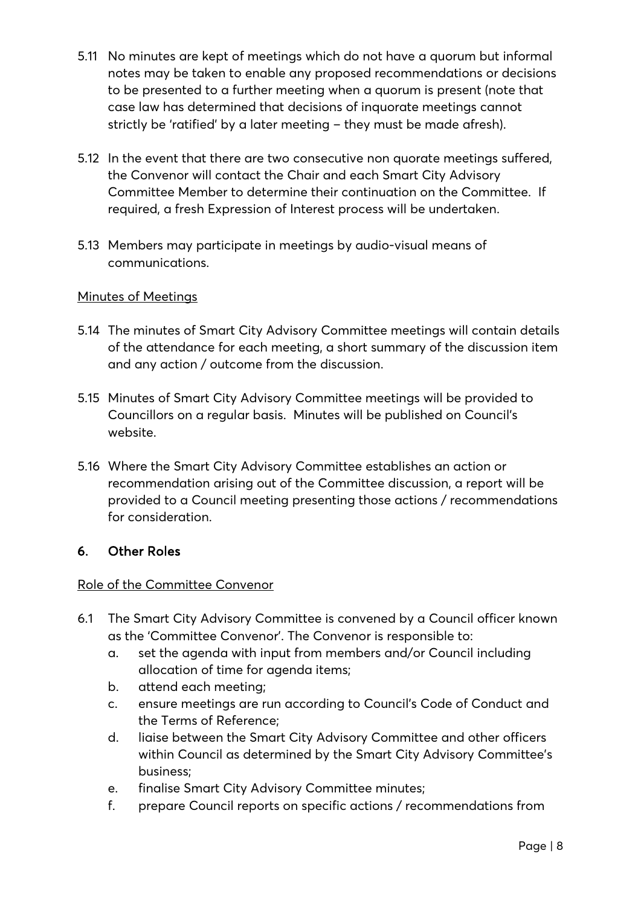- 5.11 No minutes are kept of meetings which do not have a quorum but informal notes may be taken to enable any proposed recommendations or decisions to be presented to a further meeting when a quorum is present (note that case law has determined that decisions of inquorate meetings cannot strictly be 'ratified' by a later meeting – they must be made afresh).
- 5.12 In the event that there are two consecutive non quorate meetings suffered, the Convenor will contact the Chair and each Smart City Advisory Committee Member to determine their continuation on the Committee. If required, a fresh Expression of Interest process will be undertaken.
- 5.13 Members may participate in meetings by audio-visual means of communications.

## Minutes of Meetings

- 5.14 The minutes of Smart City Advisory Committee meetings will contain details of the attendance for each meeting, a short summary of the discussion item and any action / outcome from the discussion.
- 5.15 Minutes of Smart City Advisory Committee meetings will be provided to Councillors on a regular basis. Minutes will be published on Council's website.
- 5.16 Where the Smart City Advisory Committee establishes an action or recommendation arising out of the Committee discussion, a report will be provided to a Council meeting presenting those actions / recommendations for consideration.

## 6. Other Roles

## Role of the Committee Convenor

- 6.1 The Smart City Advisory Committee is convened by a Council officer known as the 'Committee Convenor'. The Convenor is responsible to:
	- a. set the agenda with input from members and/or Council including allocation of time for agenda items;
	- b. attend each meeting;
	- c. ensure meetings are run according to Council's Code of Conduct and the Terms of Reference;
	- d. liaise between the Smart City Advisory Committee and other officers within Council as determined by the Smart City Advisory Committee's business;
	- e. finalise Smart City Advisory Committee minutes;
	- f. prepare Council reports on specific actions / recommendations from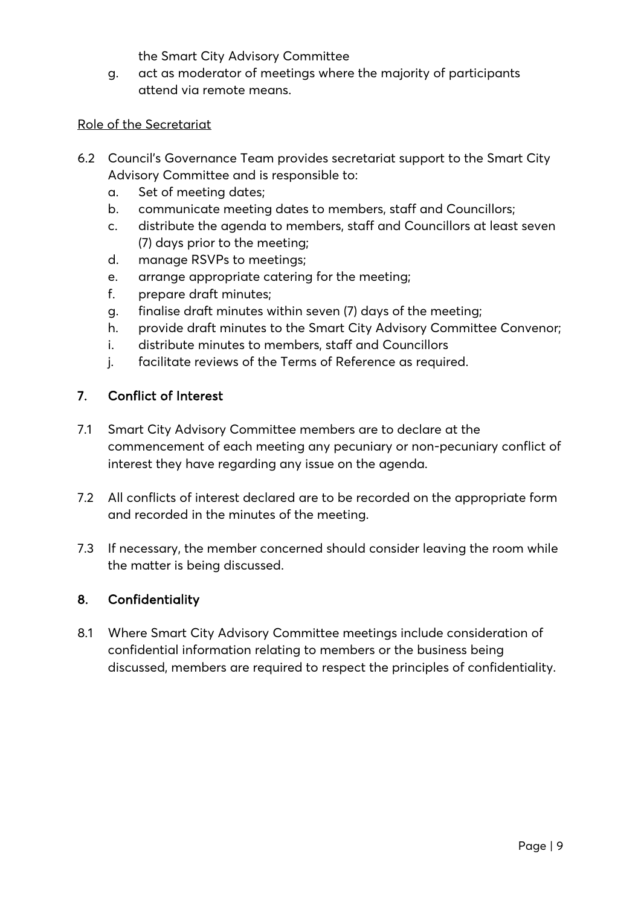the Smart City Advisory Committee

g. act as moderator of meetings where the majority of participants attend via remote means.

#### Role of the Secretariat

- 6.2 Council's Governance Team provides secretariat support to the Smart City Advisory Committee and is responsible to:
	- a. Set of meeting dates;
	- b. communicate meeting dates to members, staff and Councillors;
	- c. distribute the agenda to members, staff and Councillors at least seven (7) days prior to the meeting;
	- d. manage RSVPs to meetings;
	- e. arrange appropriate catering for the meeting;
	- f. prepare draft minutes;
	- g. finalise draft minutes within seven (7) days of the meeting;
	- h. provide draft minutes to the Smart City Advisory Committee Convenor;
	- i. distribute minutes to members, staff and Councillors
	- j. facilitate reviews of the Terms of Reference as required.

#### 7. Conflict of Interest

- 7.1 Smart City Advisory Committee members are to declare at the commencement of each meeting any pecuniary or non-pecuniary conflict of interest they have regarding any issue on the agenda.
- 7.2 All conflicts of interest declared are to be recorded on the appropriate form and recorded in the minutes of the meeting.
- 7.3 If necessary, the member concerned should consider leaving the room while the matter is being discussed.

## 8. Confidentiality

8.1 Where Smart City Advisory Committee meetings include consideration of confidential information relating to members or the business being discussed, members are required to respect the principles of confidentiality.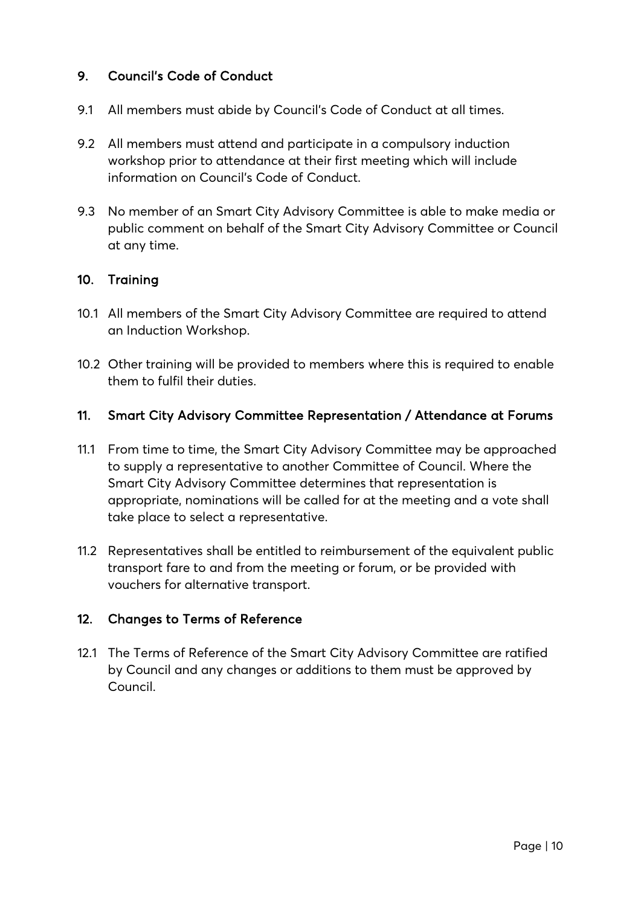## 9. Council's Code of Conduct

- 9.1 All members must abide by Council's Code of Conduct at all times.
- 9.2 All members must attend and participate in a compulsory induction workshop prior to attendance at their first meeting which will include information on Council's Code of Conduct.
- 9.3 No member of an Smart City Advisory Committee is able to make media or public comment on behalf of the Smart City Advisory Committee or Council at any time.

#### 10. Training

- 10.1 All members of the Smart City Advisory Committee are required to attend an Induction Workshop.
- 10.2 Other training will be provided to members where this is required to enable them to fulfil their duties.

#### 11. Smart City Advisory Committee Representation / Attendance at Forums

- 11.1 From time to time, the Smart City Advisory Committee may be approached to supply a representative to another Committee of Council. Where the Smart City Advisory Committee determines that representation is appropriate, nominations will be called for at the meeting and a vote shall take place to select a representative.
- 11.2 Representatives shall be entitled to reimbursement of the equivalent public transport fare to and from the meeting or forum, or be provided with vouchers for alternative transport.

## 12. Changes to Terms of Reference

12.1 The Terms of Reference of the Smart City Advisory Committee are ratified by Council and any changes or additions to them must be approved by Council.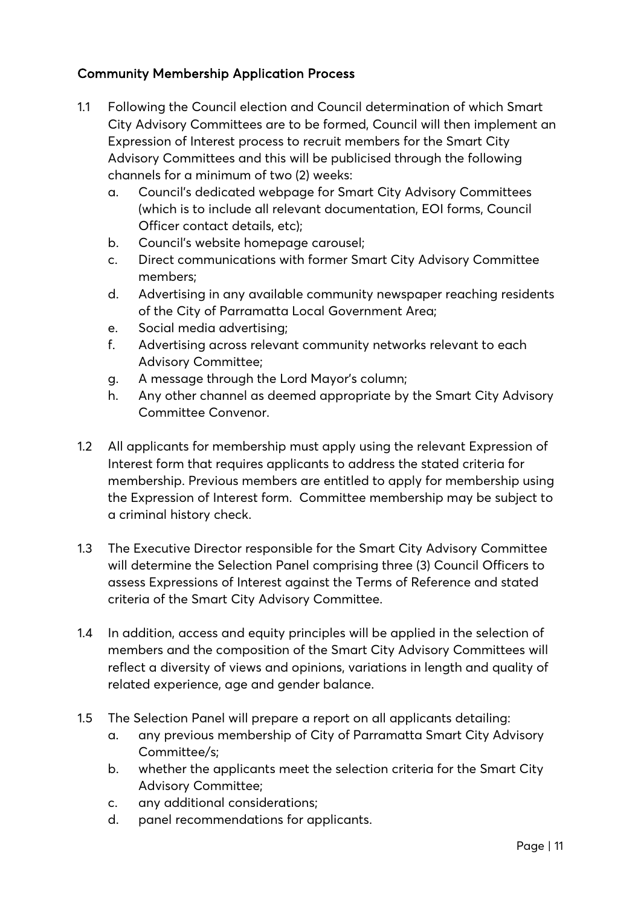## Community Membership Application Process

- 1.1 Following the Council election and Council determination of which Smart City Advisory Committees are to be formed, Council will then implement an Expression of Interest process to recruit members for the Smart City Advisory Committees and this will be publicised through the following channels for a minimum of two (2) weeks:
	- a. Council's dedicated webpage for Smart City Advisory Committees (which is to include all relevant documentation, EOI forms, Council Officer contact details, etc);
	- b. Council's website homepage carousel;
	- c. Direct communications with former Smart City Advisory Committee members;
	- d. Advertising in any available community newspaper reaching residents of the City of Parramatta Local Government Area;
	- e. Social media advertising;
	- f. Advertising across relevant community networks relevant to each Advisory Committee;
	- g. A message through the Lord Mayor's column;
	- h. Any other channel as deemed appropriate by the Smart City Advisory Committee Convenor.
- 1.2 All applicants for membership must apply using the relevant Expression of Interest form that requires applicants to address the stated criteria for membership. Previous members are entitled to apply for membership using the Expression of Interest form. Committee membership may be subject to a criminal history check.
- 1.3 The Executive Director responsible for the Smart City Advisory Committee will determine the Selection Panel comprising three (3) Council Officers to assess Expressions of Interest against the Terms of Reference and stated criteria of the Smart City Advisory Committee.
- 1.4 In addition, access and equity principles will be applied in the selection of members and the composition of the Smart City Advisory Committees will reflect a diversity of views and opinions, variations in length and quality of related experience, age and gender balance.
- 1.5 The Selection Panel will prepare a report on all applicants detailing:
	- a. any previous membership of City of Parramatta Smart City Advisory Committee/s;
	- b. whether the applicants meet the selection criteria for the Smart City Advisory Committee;
	- c. any additional considerations;
	- d. panel recommendations for applicants.